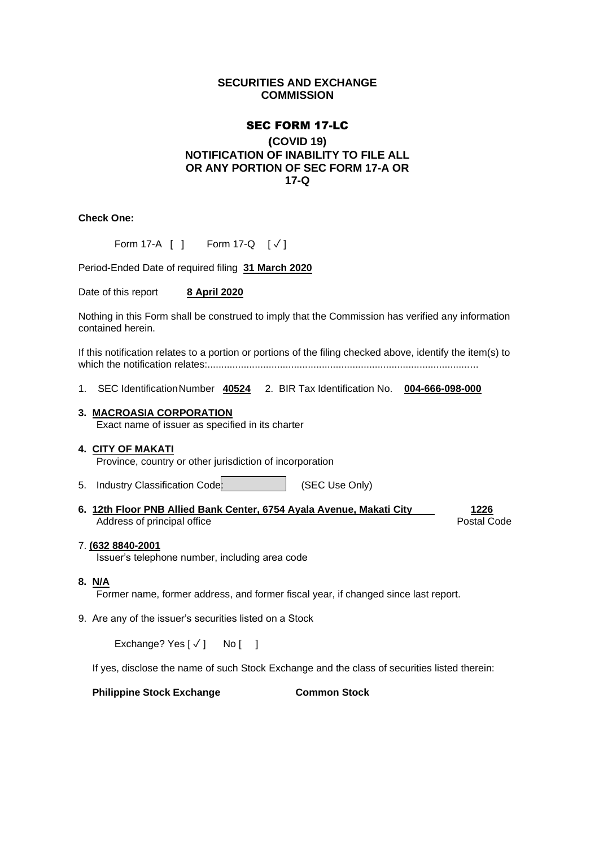# **SECURITIES AND EXCHANGE COMMISSION**

# SEC FORM 17-LC

# (**COVID 19) NOTIFICATION OF INABILITY TO FILE ALL OR ANY PORTION OF SEC FORM 17-A OR 17-Q**

**Check One:**

| Form 17-A [ ] |  | Form 17-Q $[\sqrt{]}$ |  |
|---------------|--|-----------------------|--|
|---------------|--|-----------------------|--|

Period-Ended Date of required filing **31 March 2020**

Date of this report **8 April 2020**

Nothing in this Form shall be construed to imply that the Commission has verified any information contained herein.

If this notification relates to a portion or portions of the filing checked above, identify the item(s) to which the notification relates:.................................................................................................

1. SEC IdentificationNumber **40524** 2. BIR Tax Identification No. **004-666-098-000**

### **3. MACROASIA CORPORATION**

Exact name of issuer as specified in its charter

### **4. CITY OF MAKATI**

Province, country or other jurisdiction of incorporation

- 5. Industry Classification Code: (SEC Use Only)
- **6. 12th Floor PNB Allied Bank Center, 6754 Ayala Avenue, Makati City 1226** Address of principal office **Postal Code** Postal Code Postal Code

### 7. **(632 8840-2001**

Issuer's telephone number, including area code

## **8. N/A**

Former name, former address, and former fiscal year, if changed since last report.

9. Are any of the issuer's securities listed on a Stock

Exchange? Yes  $\lceil \sqrt{\ } \rceil$  No  $\lceil$  1

If yes, disclose the name of such Stock Exchange and the class of securities listed therein:

**Philippine Stock Exchange Common Stock**